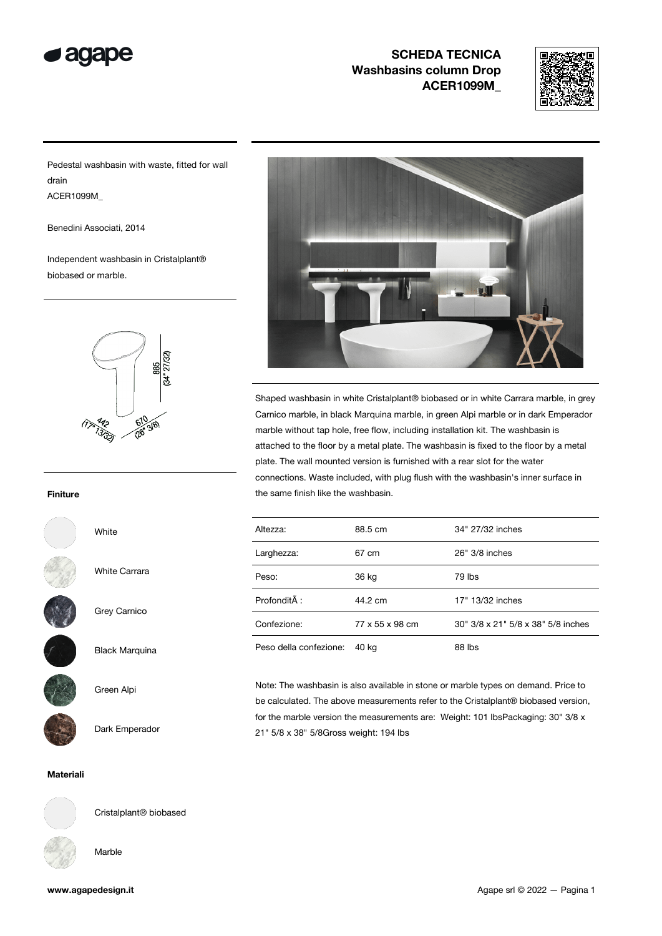



Pedestal washbasin with waste, fitted for wall drain ACER1099M\_

Benedini Associati, 2014

Independent washbasin in Cristalplant® biobased or marble.



#### Finiture



White Carrara

White



Grey Carnico

Black Marquina



Green Alpi



Dark Emperador

Materiali



Cristalplant® biobased

Marble

| www.agapedesign.it |  |
|--------------------|--|



Shaped washbasin in white Cristalplant® biobased or in white Carrara marble, in grey Carnico marble, in black Marquina marble, in green Alpi marble or in dark Emperador marble without tap hole, free flow, including installation kit. The washbasin is attached to the floor by a metal plate. The washbasin is fixed to the floor by a metal plate. The wall mounted version is furnished with a rear slot for the water connections. Waste included, with plug flush with the washbasin's inner surface in the same finish like the washbasin.

| Altezza:               | 88.5 cm         | 34" 27/32 inches                   |
|------------------------|-----------------|------------------------------------|
| Larghezza:             | 67 cm           | 26" 3/8 inches                     |
| Peso:                  | 36 kg           | 79 lbs                             |
| Profondità :           | 44.2 cm         | 17" 13/32 inches                   |
| Confezione:            | 77 x 55 x 98 cm | 30" 3/8 x 21" 5/8 x 38" 5/8 inches |
| Peso della confezione: | 40 kg           | 88 lbs                             |

Note: The washbasin is also available in stone or marble types on demand. Price to be calculated. The above measurements refer to the Cristalplant® biobased version, for the marble version the measurements are: Weight: 101 lbsPackaging: 30" 3/8 x 21" 5/8 x 38" 5/8Gross weight: 194 lbs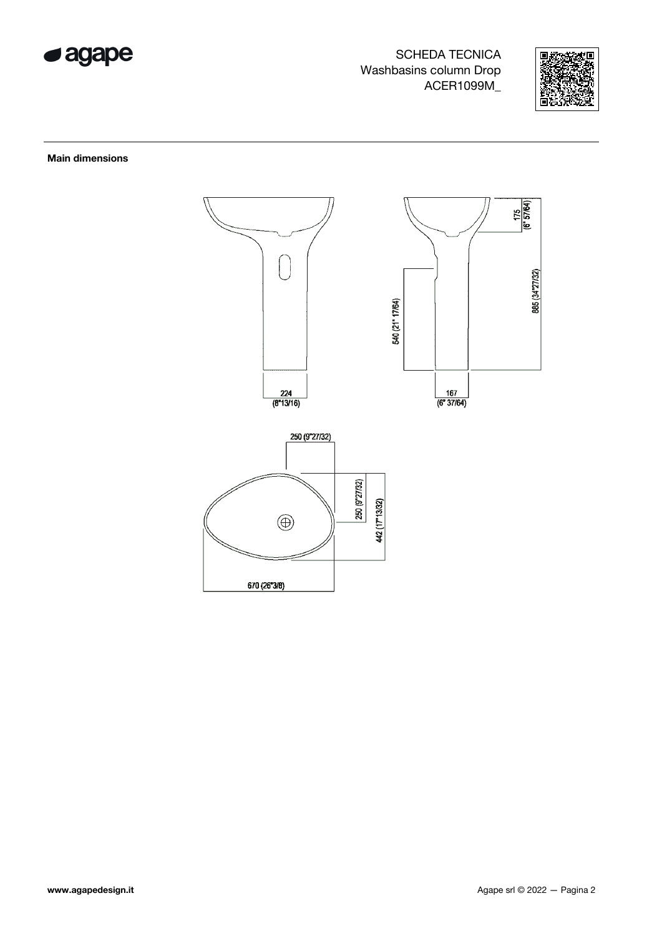



#### Main dimensions

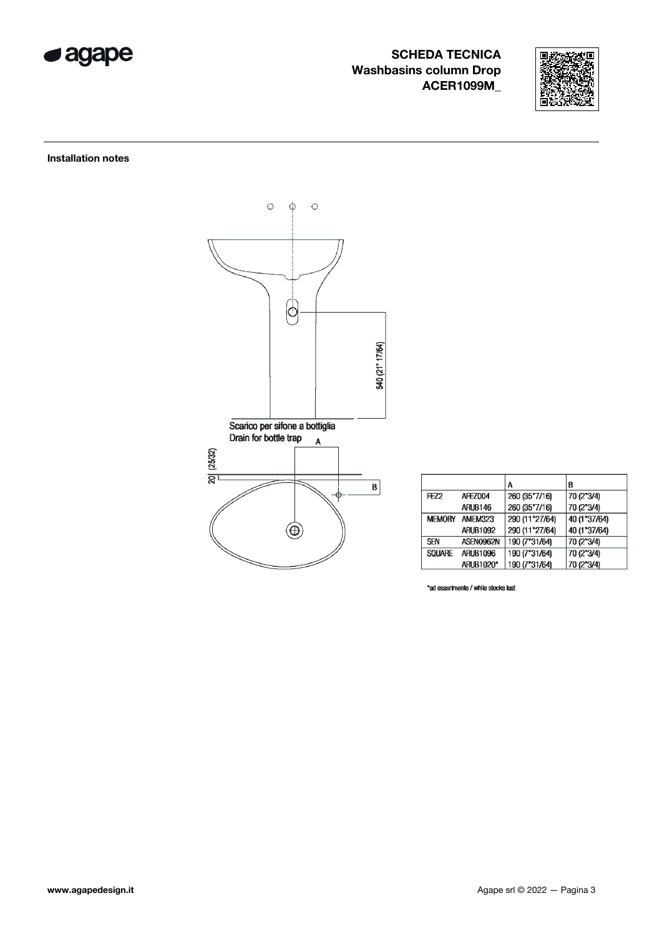



### Installation notes



|               |                 | A              | B            |
|---------------|-----------------|----------------|--------------|
| FEZ2          | <b>AFEZ004</b>  | 260 (35"7/16)  | 70 (2"3/4)   |
|               | ARUB146         | 260 (35"7/16)  | 70 (2"3/4)   |
| <b>MEMORY</b> | AMEM323         | 290 (11"27/64) | 40 (1"37/64) |
|               | <b>ARUB1092</b> | 290 (11"27/64) | 40 (1"37/64) |
| <b>SEN</b>    | ASEN0962N       | 190 (7"31/64)  | 70 (2"3/4)   |
| SOUARE        | <b>ARUB1096</b> | 190 (7"31/64)  | 70 (2"3/4)   |
|               | ARUB1020*       | 190 (7"31/64)  | 70 (2"3/4)   |

\*ad esaurimento / while stocks last